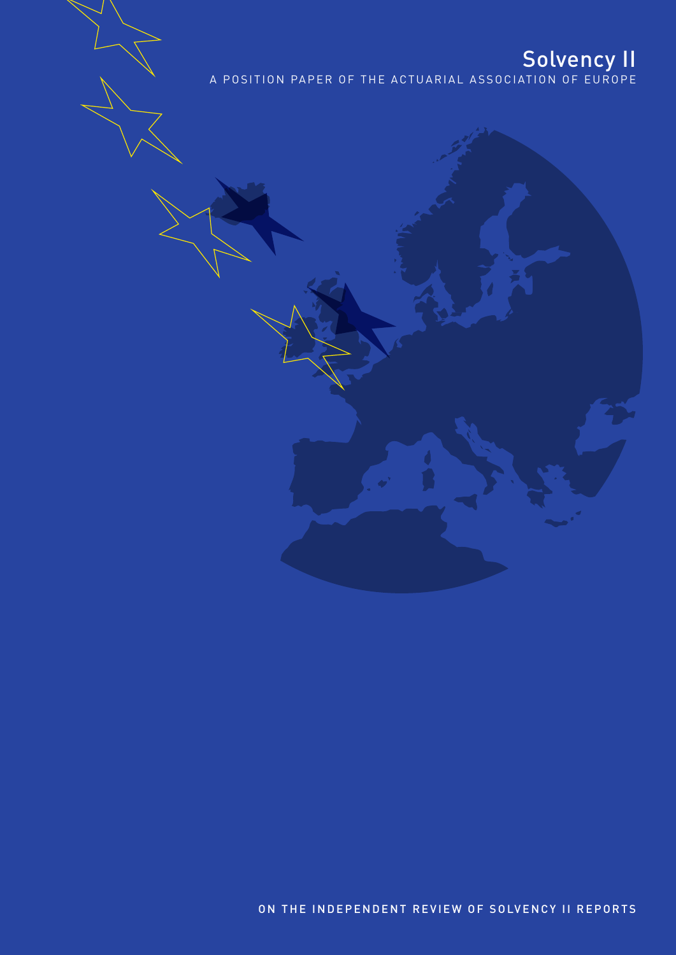**Solvency II**<br>A POSITION PAPER OF THE ACTUARIAL ASSOCIATION OF EUROPE

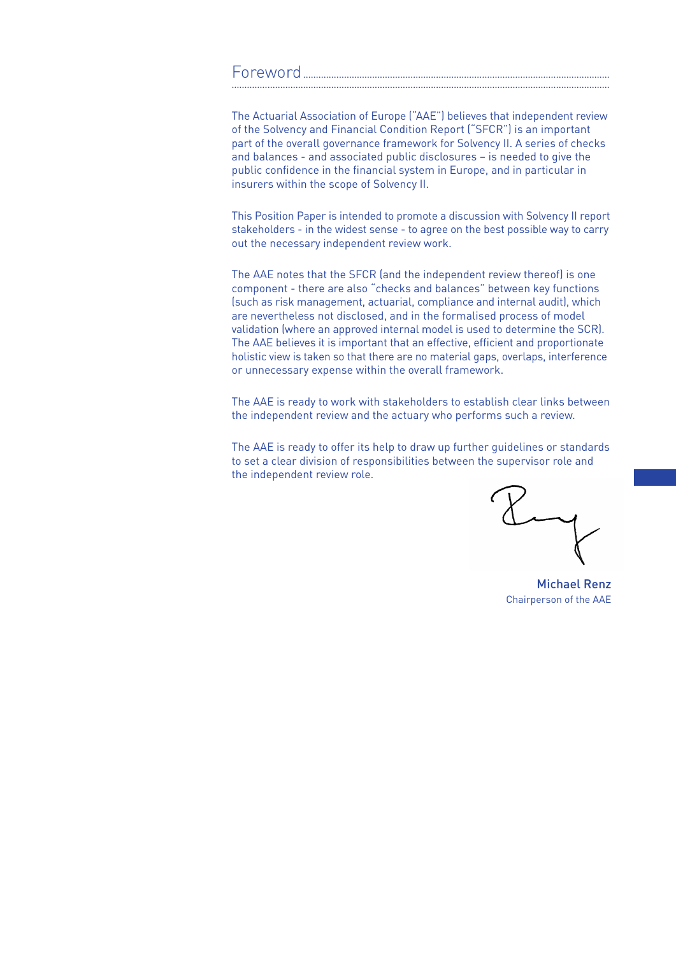#### Foreword........................................................................................................................ ....................................................................................................................................................

The Actuarial Association of Europe ("AAE") believes that independent review of the Solvency and Financial Condition Report ("SFCR") is an important part of the overall governance framework for Solvency II. A series of checks and balances - and associated public disclosures – is needed to give the public confidence in the financial system in Europe, and in particular in insurers within the scope of Solvency II.

This Position Paper is intended to promote a discussion with Solvency II report stakeholders - in the widest sense - to agree on the best possible way to carry out the necessary independent review work.

The AAE notes that the SFCR (and the independent review thereof) is one component - there are also "checks and balances" between key functions (such as risk management, actuarial, compliance and internal audit), which are nevertheless not disclosed, and in the formalised process of model validation (where an approved internal model is used to determine the SCR). The AAE believes it is important that an effective, efficient and proportionate holistic view is taken so that there are no material gaps, overlaps, interference or unnecessary expense within the overall framework.

The AAE is ready to work with stakeholders to establish clear links between the independent review and the actuary who performs such a review.

The AAE is ready to offer its help to draw up further guidelines or standards to set a clear division of responsibilities between the supervisor role and the independent review role.

Michael Renz Chairperson of the AAE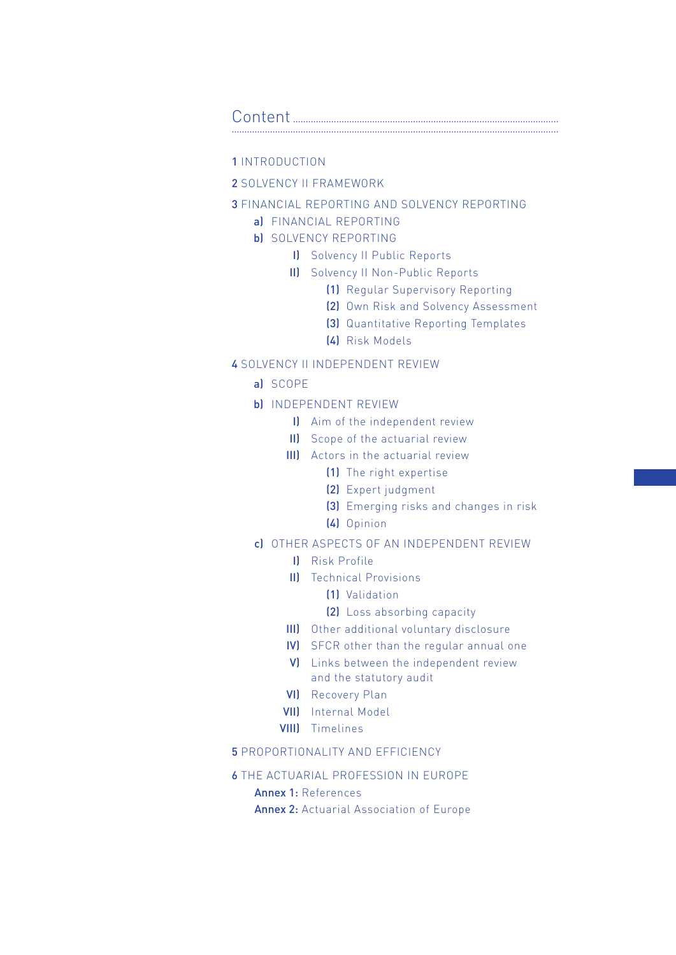#### Content........................................................................................................ ................................................................................................................................

### 1 INTRODUCTION

### 2 SOLVENCY II FRAMEWORK

### 3 Financial Reporting and Solvency Reporting

a) Financial Reporting

### b) SOLVENCY REPORTING

- I) Solvency II Public Reports
- II) Solvency II Non-Public Reports
	- (1) Regular Supervisory Reporting
	- (2) Own Risk and Solvency Assessment
	- (3) Quantitative Reporting Templates
	- (4) Risk Models

### 4 Solvency II independent review

- a) Scope
- b) Independent Review
	- I) Aim of the independent review
	- II) Scope of the actuarial review
	- III) Actors in the actuarial review
		- (1) The right expertise
		- (2) Expert judgment
		- (3) Emerging risks and changes in risk
		- (4) Opinion

### c) Other aspects of an independent review

- I) Risk Profile
- II) Technical Provisions
	- (1) Validation
	- (2) Loss absorbing capacity
- III) Other additional voluntary disclosure
- IV) SFCR other than the regular annual one
- V) Links between the independent review and the statutory audit
- VI) Recovery Plan
- VII) Internal Model
- VIII) Timelines

### **5 PROPORTIONALITY AND EFFICIENCY**

### 6 The Actuarial Profession in Europe

### Annex 1: References

Annex 2: Actuarial Association of Europe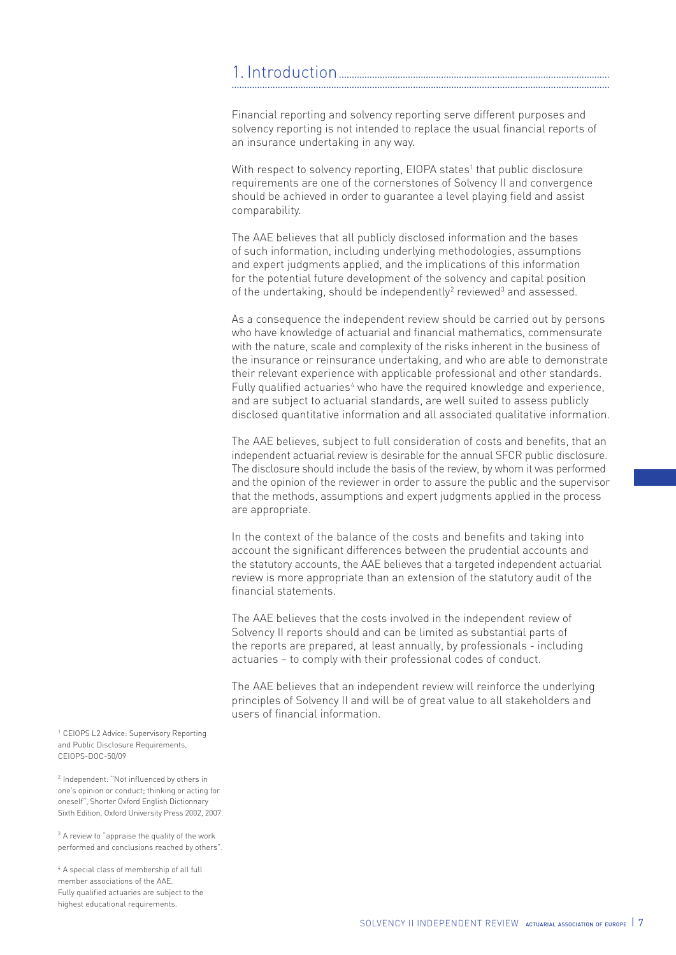#### 1. Introduction... ....................................................................................................................................................

Financial reporting and solvency reporting serve different purposes and solvency reporting is not intended to replace the usual financial reports of an insurance undertaking in any way.

With respect to solvency reporting, EIOPA states<sup>1</sup> that public disclosure requirements are one of the cornerstones of Solvency II and convergence should be achieved in order to guarantee a level playing field and assist comparability.

The AAE believes that all publicly disclosed information and the bases of such information, including underlying methodologies, assumptions and expert judgments applied, and the implications of this information for the potential future development of the solvency and capital position of the undertaking, should be independently<sup>2</sup> reviewed<sup>3</sup> and assessed.

As a consequence the independent review should be carried out by persons who have knowledge of actuarial and financial mathematics, commensurate with the nature, scale and complexity of the risks inherent in the business of the insurance or reinsurance undertaking, and who are able to demonstrate their relevant experience with applicable professional and other standards. Fully qualified actuaries<sup>4</sup> who have the required knowledge and experience, and are subject to actuarial standards, are well suited to assess publicly disclosed quantitative information and all associated qualitative information.

The AAE believes, subject to full consideration of costs and benefits, that an independent actuarial review is desirable for the annual SFCR public disclosure. The disclosure should include the basis of the review, by whom it was performed and the opinion of the reviewer in order to assure the public and the supervisor that the methods, assumptions and expert judgments applied in the process are appropriate.

In the context of the balance of the costs and benefits and taking into account the significant differences between the prudential accounts and the statutory accounts, the AAE believes that a targeted independent actuarial review is more appropriate than an extension of the statutory audit of the financial statements.

The AAE believes that the costs involved in the independent review of Solvency II reports should and can be limited as substantial parts of the reports are prepared, at least annually, by professionals - including actuaries – to comply with their professional codes of conduct.

The AAE believes that an independent review will reinforce the underlying principles of Solvency II and will be of great value to all stakeholders and users of financial information.

<sup>1</sup> CEIOPS L2 Advice: Supervisory Reporting and Public Disclosure Requirements, CEIOPS-DOC-50/09

<sup>2</sup> Independent: "Not influenced by others in one's opinion or conduct; thinking or acting for oneself", Shorter Oxford English Dictionnary Sixth Edition, Oxford University Press 2002, 2007.

 $3$  A review to "appraise the quality of the work performed and conclusions reached by others".

<sup>4</sup> A special class of membership of all full member associations of the AAE. Fully qualified actuaries are subject to the highest educational requirements.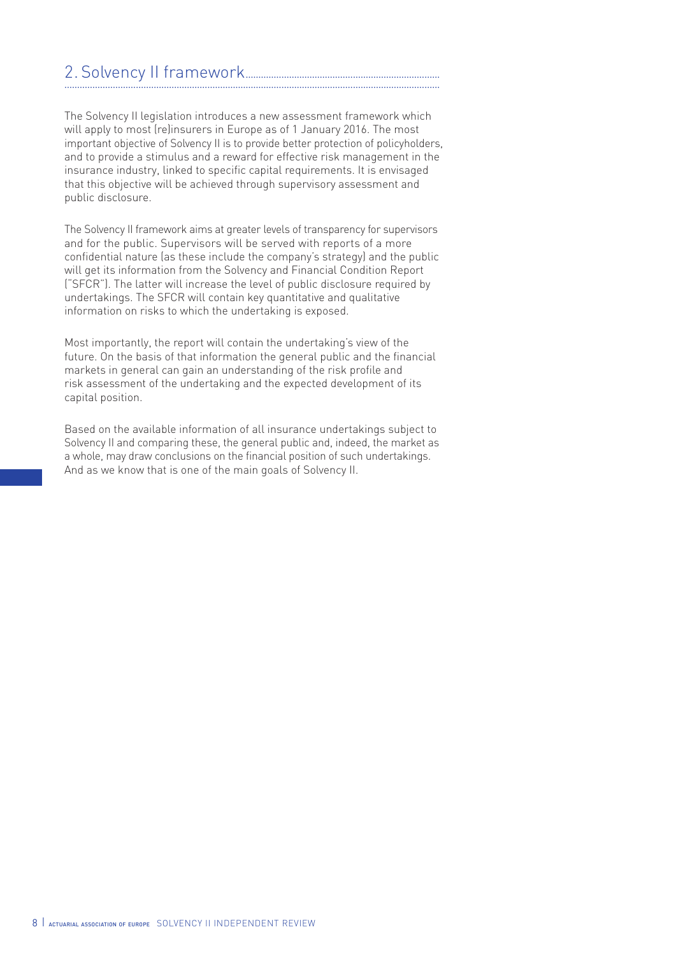#### 2. Solvency II framework............................................................................ ...................................................................................................................................................

The Solvency II legislation introduces a new assessment framework which will apply to most (re)insurers in Europe as of 1 January 2016. The most important objective of Solvency II is to provide better protection of policyholders, and to provide a stimulus and a reward for effective risk management in the insurance industry, linked to specific capital requirements. It is envisaged that this objective will be achieved through supervisory assessment and public disclosure.

The Solvency II framework aims at greater levels of transparency for supervisors and for the public. Supervisors will be served with reports of a more confidential nature (as these include the company's strategy) and the public will get its information from the Solvency and Financial Condition Report ("SFCR"). The latter will increase the level of public disclosure required by undertakings. The SFCR will contain key quantitative and qualitative information on risks to which the undertaking is exposed.

Most importantly, the report will contain the undertaking's view of the future. On the basis of that information the general public and the financial markets in general can gain an understanding of the risk profile and risk assessment of the undertaking and the expected development of its capital position.

Based on the available information of all insurance undertakings subject to Solvency II and comparing these, the general public and, indeed, the market as a whole, may draw conclusions on the financial position of such undertakings. And as we know that is one of the main goals of Solvency II.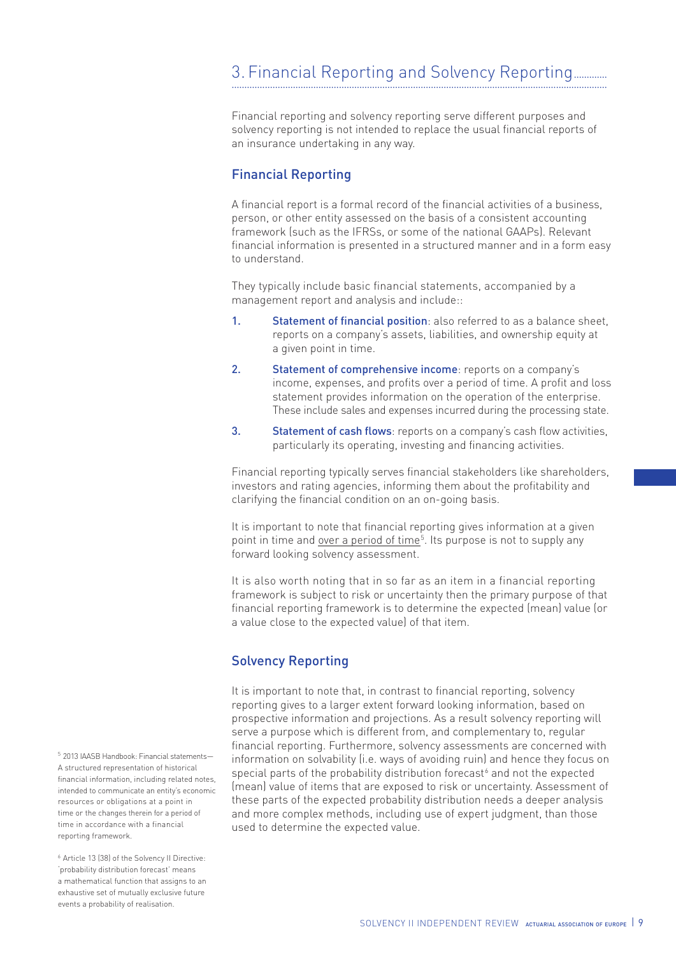Financial reporting and solvency reporting serve different purposes and solvency reporting is not intended to replace the usual financial reports of an insurance undertaking in any way.

### Financial Reporting

A financial report is a formal record of the financial activities of a business, person, or other entity assessed on the basis of a consistent accounting framework (such as the IFRSs, or some of the national GAAPs). Relevant financial information is presented in a structured manner and in a form easy to understand.

They typically include basic financial statements, accompanied by a management report and analysis and include::

- 1. Statement of financial position: also referred to as a balance sheet, reports on a company's assets, liabilities, and ownership equity at a given point in time.
- 2. Statement of comprehensive income: reports on a company's income, expenses, and profits over a period of time. A profit and loss statement provides information on the operation of the enterprise. These include sales and expenses incurred during the processing state.
- 3. Statement of cash flows: reports on a company's cash flow activities, particularly its operating, investing and financing activities.

Financial reporting typically serves financial stakeholders like shareholders, investors and rating agencies, informing them about the profitability and clarifying the financial condition on an on-going basis.

It is important to note that financial reporting gives information at a given point in time and <u>over a period of time<sup>5</sup></u>. Its purpose is not to supply any forward looking solvency assessment.

It is also worth noting that in so far as an item in a financial reporting framework is subject to risk or uncertainty then the primary purpose of that financial reporting framework is to determine the expected (mean) value (or a value close to the expected value) of that item.

## Solvency Reporting

It is important to note that, in contrast to financial reporting, solvency reporting gives to a larger extent forward looking information, based on prospective information and projections. As a result solvency reporting will serve a purpose which is different from, and complementary to, regular financial reporting. Furthermore, solvency assessments are concerned with information on solvability (i.e. ways of avoiding ruin) and hence they focus on special parts of the probability distribution forecast<sup>6</sup> and not the expected (mean) value of items that are exposed to risk or uncertainty. Assessment of these parts of the expected probability distribution needs a deeper analysis and more complex methods, including use of expert judgment, than those used to determine the expected value.

<sup>5</sup> 2013 IAASB Handbook: Financial statements— A structured representation of historical financial information, including related notes, intended to communicate an entity's economic resources or obligations at a point in time or the changes therein for a period of time in accordance with a financial reporting framework.

<sup>6</sup> Article 13 (38) of the Solvency II Directive: 'probability distribution forecast' means a mathematical function that assigns to an exhaustive set of mutually exclusive future events a probability of realisation.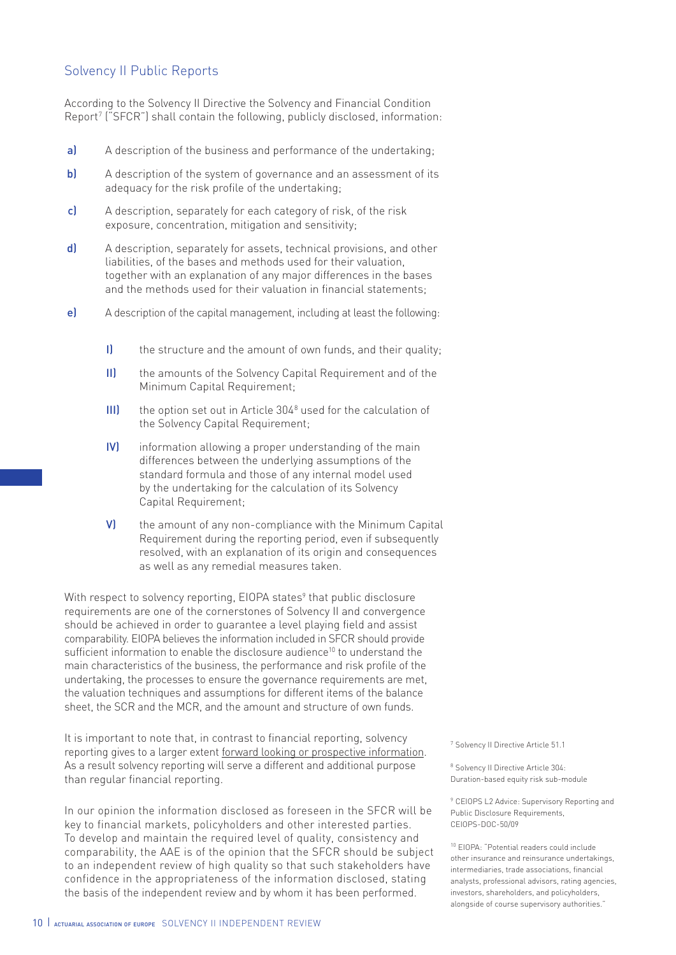### Solvency II Public Reports

According to the Solvency II Directive the Solvency and Financial Condition Report7 ("SFCR") shall contain the following, publicly disclosed, information:

- a) A description of the business and performance of the undertaking;
- b) A description of the system of governance and an assessment of its adequacy for the risk profile of the undertaking;
- c) A description, separately for each category of risk, of the risk exposure, concentration, mitigation and sensitivity;
- d) A description, separately for assets, technical provisions, and other liabilities, of the bases and methods used for their valuation, together with an explanation of any major differences in the bases and the methods used for their valuation in financial statements;
- e) A description of the capital management, including at least the following:
	- I) the structure and the amount of own funds, and their quality;
	- II) the amounts of the Solvency Capital Requirement and of the Minimum Capital Requirement;
	- III) the option set out in Article 304<sup>8</sup> used for the calculation of the Solvency Capital Requirement;
	- IV) information allowing a proper understanding of the main differences between the underlying assumptions of the standard formula and those of any internal model used by the undertaking for the calculation of its Solvency Capital Requirement;
	- V) the amount of any non-compliance with the Minimum Capital Requirement during the reporting period, even if subsequently resolved, with an explanation of its origin and consequences as well as any remedial measures taken.

With respect to solvency reporting, EIOPA states $^{\circ}$  that public disclosure requirements are one of the cornerstones of Solvency II and convergence should be achieved in order to guarantee a level playing field and assist comparability. EIOPA believes the information included in SFCR should provide sufficient information to enable the disclosure audience<sup>10</sup> to understand the main characteristics of the business, the performance and risk profile of the undertaking, the processes to ensure the governance requirements are met, the valuation techniques and assumptions for different items of the balance sheet, the SCR and the MCR, and the amount and structure of own funds.

It is important to note that, in contrast to financial reporting, solvency reporting gives to a larger extent forward looking or prospective information. As a result solvency reporting will serve a different and additional purpose than regular financial reporting.

In our opinion the information disclosed as foreseen in the SFCR will be key to financial markets, policyholders and other interested parties. To develop and maintain the required level of quality, consistency and comparability, the AAE is of the opinion that the SFCR should be subject to an independent review of high quality so that such stakeholders have confidence in the appropriateness of the information disclosed, stating the basis of the independent review and by whom it has been performed.

<sup>7</sup> Solvency II Directive Article 51.1

<sup>8</sup> Solvency II Directive Article 304: Duration-based equity risk sub-module

<sup>9</sup> CEIOPS L2 Advice: Supervisory Reporting and Public Disclosure Requirements, CEIOPS-DOC-50/09

<sup>10</sup> EIOPA: "Potential readers could include other insurance and reinsurance undertakings, intermediaries, trade associations, financial analysts, professional advisors, rating agencies, investors, shareholders, and policyholders, alongside of course supervisory authorities."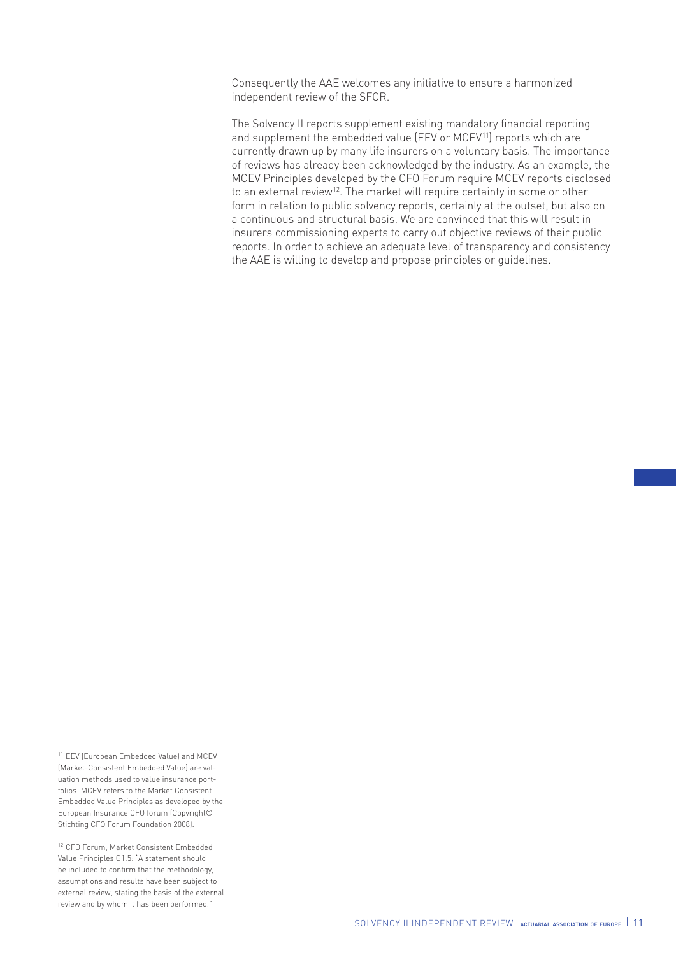Consequently the AAE welcomes any initiative to ensure a harmonized independent review of the SFCR.

The Solvency II reports supplement existing mandatory financial reporting and supplement the embedded value (EEV or MCEV<sup>11</sup>) reports which are currently drawn up by many life insurers on a voluntary basis. The importance of reviews has already been acknowledged by the industry. As an example, the MCEV Principles developed by the CFO Forum require MCEV reports disclosed to an external review<sup>12</sup>. The market will require certainty in some or other form in relation to public solvency reports, certainly at the outset, but also on a continuous and structural basis. We are convinced that this will result in insurers commissioning experts to carry out objective reviews of their public reports. In order to achieve an adequate level of transparency and consistency the AAE is willing to develop and propose principles or guidelines.

<sup>11</sup> EEV (European Embedded Value) and MCEV (Market-Consistent Embedded Value) are valuation methods used to value insurance portfolios. MCEV refers to the Market Consistent Embedded Value Principles as developed by the European Insurance CFO forum (Copyright© Stichting CFO Forum Foundation 2008).

<sup>12</sup> CFO Forum, Market Consistent Embedded Value Principles G1.5: "A statement should be included to confirm that the methodology, assumptions and results have been subject to external review, stating the basis of the external review and by whom it has been performed."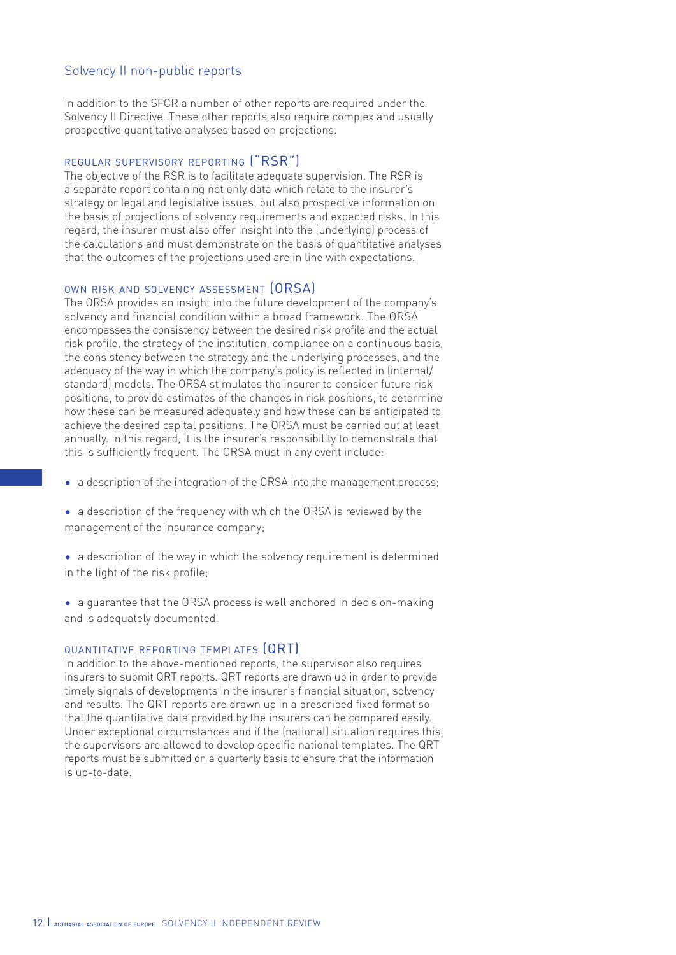### Solvency II non-public reports

In addition to the SFCR a number of other reports are required under the Solvency II Directive. These other reports also require complex and usually prospective quantitative analyses based on projections.

### regular supervisory reporting ("RSR")

The objective of the RSR is to facilitate adequate supervision. The RSR is a separate report containing not only data which relate to the insurer's strategy or legal and legislative issues, but also prospective information on the basis of projections of solvency requirements and expected risks. In this regard, the insurer must also offer insight into the (underlying) process of the calculations and must demonstrate on the basis of quantitative analyses that the outcomes of the projections used are in line with expectations.

#### own risk and solvency assessment (ORSA)

The ORSA provides an insight into the future development of the company's solvency and financial condition within a broad framework. The ORSA encompasses the consistency between the desired risk profile and the actual risk profile, the strategy of the institution, compliance on a continuous basis, the consistency between the strategy and the underlying processes, and the adequacy of the way in which the company's policy is reflected in (internal/ standard) models. The ORSA stimulates the insurer to consider future risk positions, to provide estimates of the changes in risk positions, to determine how these can be measured adequately and how these can be anticipated to achieve the desired capital positions. The ORSA must be carried out at least annually. In this regard, it is the insurer's responsibility to demonstrate that this is sufficiently frequent. The ORSA must in any event include:

- a description of the integration of the ORSA into the management process;
- a description of the frequency with which the ORSA is reviewed by the management of the insurance company;
- a description of the way in which the solvency requirement is determined in the light of the risk profile;
- a guarantee that the ORSA process is well anchored in decision-making and is adequately documented.

#### quantitative reporting templates (QRT)

In addition to the above-mentioned reports, the supervisor also requires insurers to submit QRT reports. QRT reports are drawn up in order to provide timely signals of developments in the insurer's financial situation, solvency and results. The QRT reports are drawn up in a prescribed fixed format so that the quantitative data provided by the insurers can be compared easily. Under exceptional circumstances and if the (national) situation requires this, the supervisors are allowed to develop specific national templates. The QRT reports must be submitted on a quarterly basis to ensure that the information is up-to-date.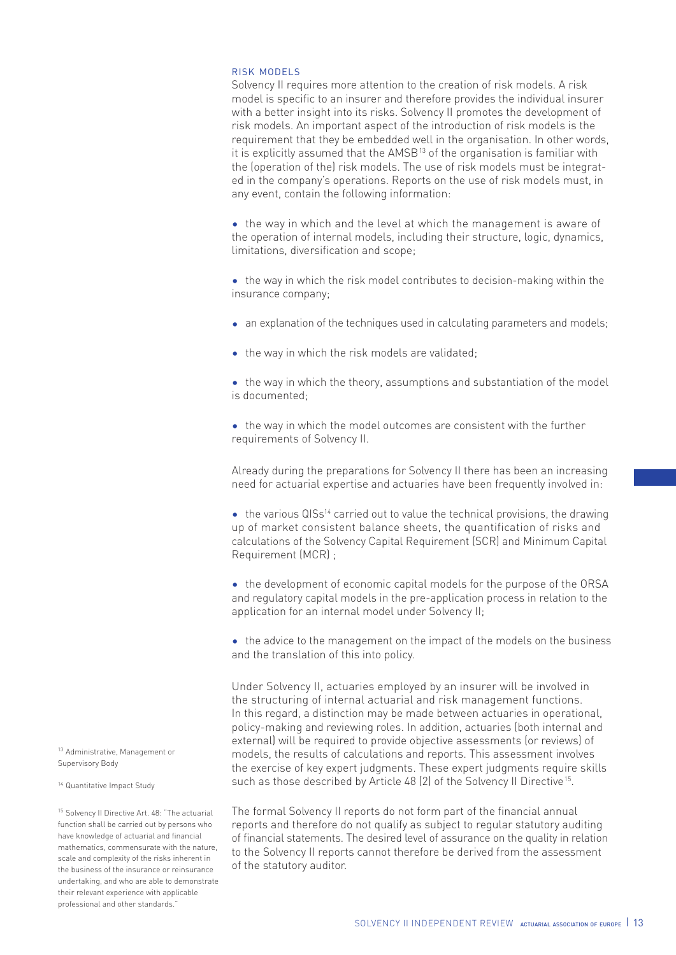#### risk models

Solvency II requires more attention to the creation of risk models. A risk model is specific to an insurer and therefore provides the individual insurer with a better insight into its risks. Solvency II promotes the development of risk models. An important aspect of the introduction of risk models is the requirement that they be embedded well in the organisation. In other words, it is explicitly assumed that the AMSB<sup>13</sup> of the organisation is familiar with the (operation of the) risk models. The use of risk models must be integrated in the company's operations. Reports on the use of risk models must, in any event, contain the following information:

• the way in which and the level at which the management is aware of the operation of internal models, including their structure, logic, dynamics, limitations, diversification and scope;

• the way in which the risk model contributes to decision-making within the insurance company;

- an explanation of the techniques used in calculating parameters and models;
- the way in which the risk models are validated;
- the way in which the theory, assumptions and substantiation of the model is documented;
- the way in which the model outcomes are consistent with the further requirements of Solvency II.

Already during the preparations for Solvency II there has been an increasing need for actuarial expertise and actuaries have been frequently involved in:

 $\bullet$  the various QISs<sup>14</sup> carried out to value the technical provisions, the drawing up of market consistent balance sheets, the quantification of risks and calculations of the Solvency Capital Requirement (SCR) and Minimum Capital Requirement (MCR) ;

• the development of economic capital models for the purpose of the ORSA and regulatory capital models in the pre-application process in relation to the application for an internal model under Solvency II;

• the advice to the management on the impact of the models on the business and the translation of this into policy.

Under Solvency II, actuaries employed by an insurer will be involved in the structuring of internal actuarial and risk management functions. In this regard, a distinction may be made between actuaries in operational, policy-making and reviewing roles. In addition, actuaries (both internal and external) will be required to provide objective assessments (or reviews) of models, the results of calculations and reports. This assessment involves the exercise of key expert judgments. These expert judgments require skills such as those described by Article 48 (2) of the Solvency II Directive<sup>15</sup>.

The formal Solvency II reports do not form part of the financial annual reports and therefore do not qualify as subject to regular statutory auditing of financial statements. The desired level of assurance on the quality in relation to the Solvency II reports cannot therefore be derived from the assessment of the statutory auditor.

13 Administrative, Management or Supervisory Body

<sup>14</sup> Quantitative Impact Study

<sup>15</sup> Solvency II Directive Art. 48: "The actuarial function shall be carried out by persons who have knowledge of actuarial and financial mathematics, commensurate with the nature, scale and complexity of the risks inherent in the business of the insurance or reinsurance undertaking, and who are able to demonstrate their relevant experience with applicable professional and other standards."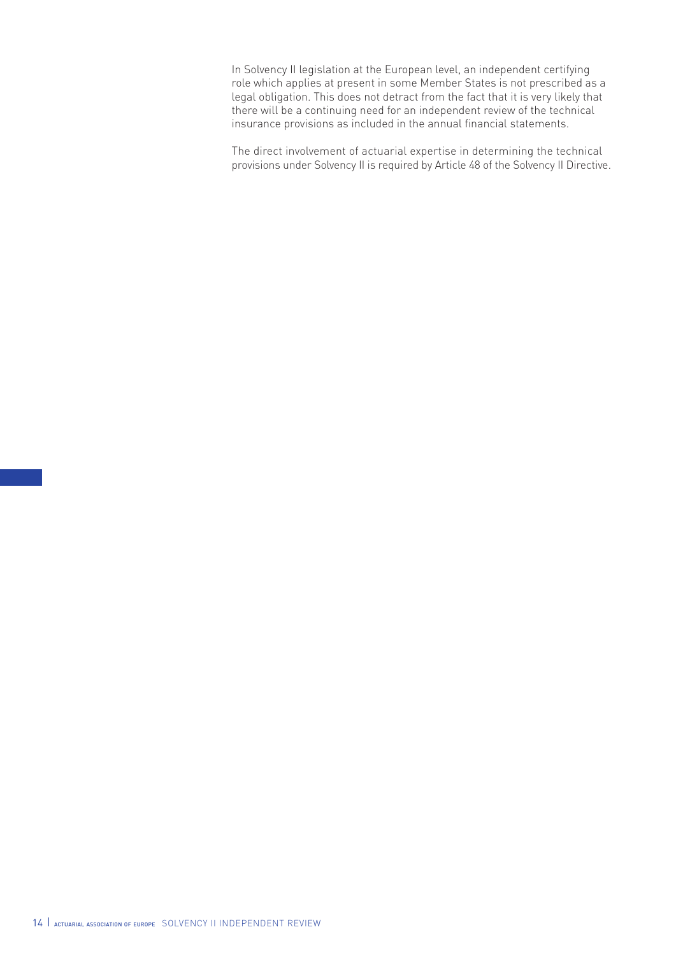In Solvency II legislation at the European level, an independent certifying role which applies at present in some Member States is not prescribed as a legal obligation. This does not detract from the fact that it is very likely that there will be a continuing need for an independent review of the technical insurance provisions as included in the annual financial statements.

The direct involvement of actuarial expertise in determining the technical provisions under Solvency II is required by Article 48 of the Solvency II Directive.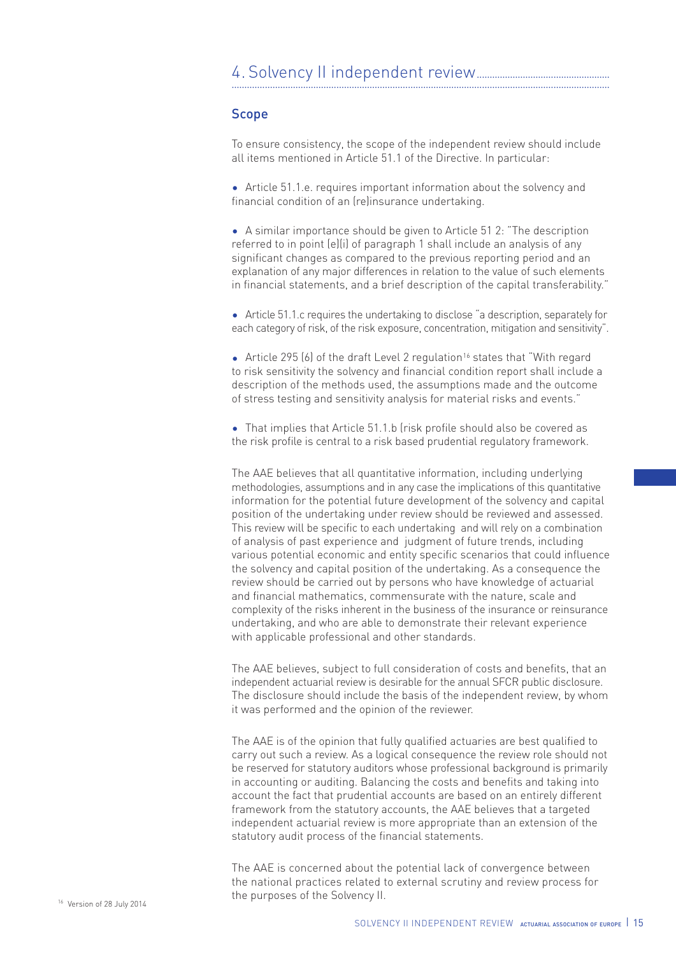### Scope

To ensure consistency, the scope of the independent review should include all items mentioned in Article 51.1 of the Directive. In particular:

• Article 51.1.e. requires important information about the solvency and financial condition of an (re)insurance undertaking.

• A similar importance should be given to Article 51 2: "The description referred to in point (e)(i) of paragraph 1 shall include an analysis of any significant changes as compared to the previous reporting period and an explanation of any major differences in relation to the value of such elements in financial statements, and a brief description of the capital transferability."

• Article 51.1.c requires the undertaking to disclose "a description, separately for each category of risk, of the risk exposure, concentration, mitigation and sensitivity".

• Article 295 (6) of the draft Level 2 regulation<sup>16</sup> states that "With regard to risk sensitivity the solvency and financial condition report shall include a description of the methods used, the assumptions made and the outcome of stress testing and sensitivity analysis for material risks and events."

• That implies that Article 51.1.b (risk profile should also be covered as the risk profile is central to a risk based prudential regulatory framework.

The AAE believes that all quantitative information, including underlying methodologies, assumptions and in any case the implications of this quantitative information for the potential future development of the solvency and capital position of the undertaking under review should be reviewed and assessed. This review will be specific to each undertaking and will rely on a combination of analysis of past experience and judgment of future trends, including various potential economic and entity specific scenarios that could influence the solvency and capital position of the undertaking. As a consequence the review should be carried out by persons who have knowledge of actuarial and financial mathematics, commensurate with the nature, scale and complexity of the risks inherent in the business of the insurance or reinsurance undertaking, and who are able to demonstrate their relevant experience with applicable professional and other standards.

The AAE believes, subject to full consideration of costs and benefits, that an independent actuarial review is desirable for the annual SFCR public disclosure. The disclosure should include the basis of the independent review, by whom it was performed and the opinion of the reviewer.

The AAE is of the opinion that fully qualified actuaries are best qualified to carry out such a review. As a logical consequence the review role should not be reserved for statutory auditors whose professional background is primarily in accounting or auditing. Balancing the costs and benefits and taking into account the fact that prudential accounts are based on an entirely different framework from the statutory accounts, the AAE believes that a targeted independent actuarial review is more appropriate than an extension of the statutory audit process of the financial statements.

The AAE is concerned about the potential lack of convergence between the national practices related to external scrutiny and review process for <sup>16</sup> Version of 28 July 2014 **16 Contract Contract Contract Contract Contract Contract Contract Contract Contract Contract Contract Contract Version of 28 July 2014**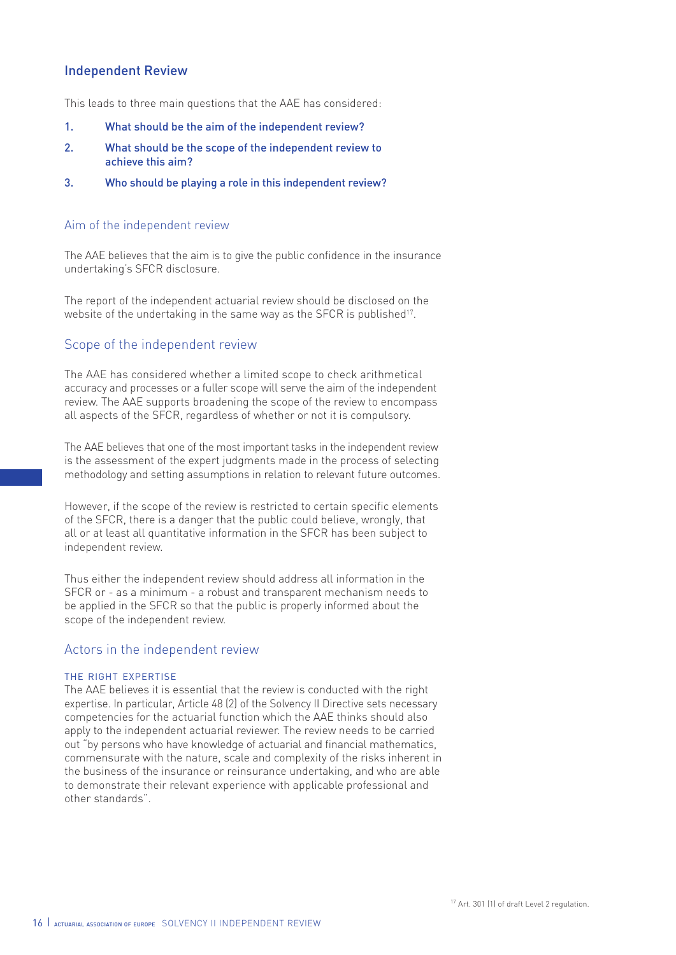### Independent Review

This leads to three main questions that the AAE has considered:

- 1. What should be the aim of the independent review?
- 2. What should be the scope of the independent review to achieve this aim?
- 3. Who should be playing a role in this independent review?

#### Aim of the independent review

The AAE believes that the aim is to give the public confidence in the insurance undertaking's SFCR disclosure.

The report of the independent actuarial review should be disclosed on the website of the undertaking in the same way as the SFCR is published<sup>17</sup>.

### Scope of the independent review

The AAE has considered whether a limited scope to check arithmetical accuracy and processes or a fuller scope will serve the aim of the independent review. The AAE supports broadening the scope of the review to encompass all aspects of the SFCR, regardless of whether or not it is compulsory.

The AAE believes that one of the most important tasks in the independent review is the assessment of the expert judgments made in the process of selecting methodology and setting assumptions in relation to relevant future outcomes.

However, if the scope of the review is restricted to certain specific elements of the SFCR, there is a danger that the public could believe, wrongly, that all or at least all quantitative information in the SFCR has been subject to independent review.

Thus either the independent review should address all information in the SFCR or - as a minimum - a robust and transparent mechanism needs to be applied in the SFCR so that the public is properly informed about the scope of the independent review.

### Actors in the independent review

#### the right expertise

The AAE believes it is essential that the review is conducted with the right expertise. In particular, Article 48 (2) of the Solvency II Directive sets necessary competencies for the actuarial function which the AAE thinks should also apply to the independent actuarial reviewer. The review needs to be carried out "by persons who have knowledge of actuarial and financial mathematics, commensurate with the nature, scale and complexity of the risks inherent in the business of the insurance or reinsurance undertaking, and who are able to demonstrate their relevant experience with applicable professional and other standards".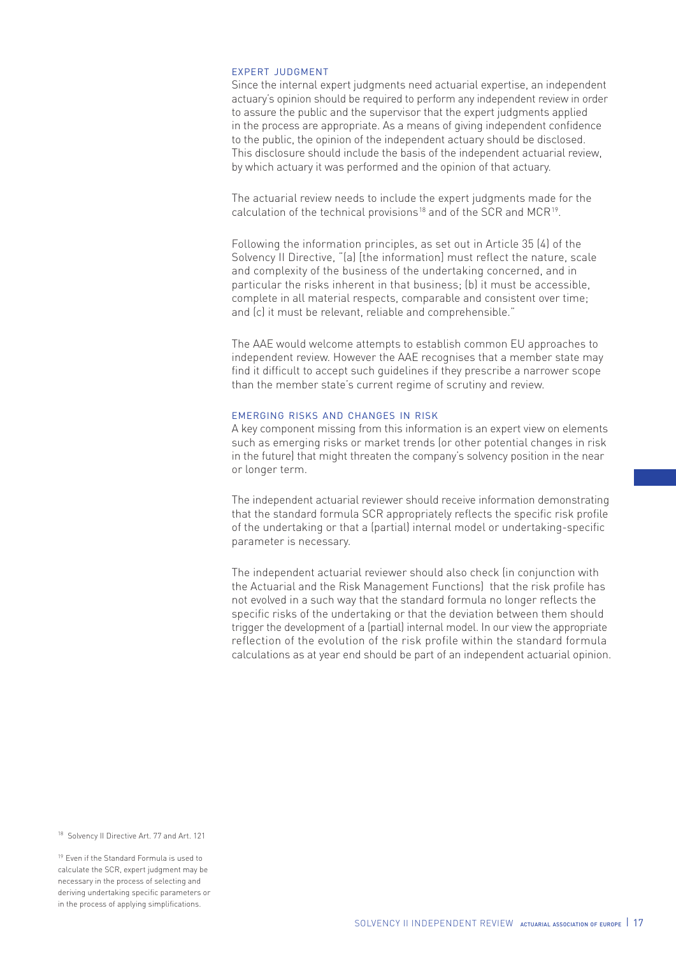#### expert judgment

Since the internal expert judgments need actuarial expertise, an independent actuary's opinion should be required to perform any independent review in order to assure the public and the supervisor that the expert judgments applied in the process are appropriate. As a means of giving independent confidence to the public, the opinion of the independent actuary should be disclosed. This disclosure should include the basis of the independent actuarial review, by which actuary it was performed and the opinion of that actuary.

The actuarial review needs to include the expert judgments made for the calculation of the technical provisions<sup>18</sup> and of the SCR and MCR<sup>19</sup>.

Following the information principles, as set out in Article 35 (4) of the Solvency II Directive, "(a) [the information] must reflect the nature, scale and complexity of the business of the undertaking concerned, and in particular the risks inherent in that business; (b) it must be accessible, complete in all material respects, comparable and consistent over time; and (c) it must be relevant, reliable and comprehensible."

The AAE would welcome attempts to establish common EU approaches to independent review. However the AAE recognises that a member state may find it difficult to accept such guidelines if they prescribe a narrower scope than the member state's current regime of scrutiny and review.

#### emerging risks and changes in risk

A key component missing from this information is an expert view on elements such as emerging risks or market trends (or other potential changes in risk in the future) that might threaten the company's solvency position in the near or longer term.

The independent actuarial reviewer should receive information demonstrating that the standard formula SCR appropriately reflects the specific risk profile of the undertaking or that a (partial) internal model or undertaking-specific parameter is necessary.

The independent actuarial reviewer should also check (in conjunction with the Actuarial and the Risk Management Functions) that the risk profile has not evolved in a such way that the standard formula no longer reflects the specific risks of the undertaking or that the deviation between them should trigger the development of a (partial) internal model. In our view the appropriate reflection of the evolution of the risk profile within the standard formula calculations as at year end should be part of an independent actuarial opinion.

18 Solvency II Directive Art. 77 and Art. 121

<sup>19</sup> Even if the Standard Formula is used to calculate the SCR, expert judgment may be necessary in the process of selecting and deriving undertaking specific parameters or in the process of applying simplifications.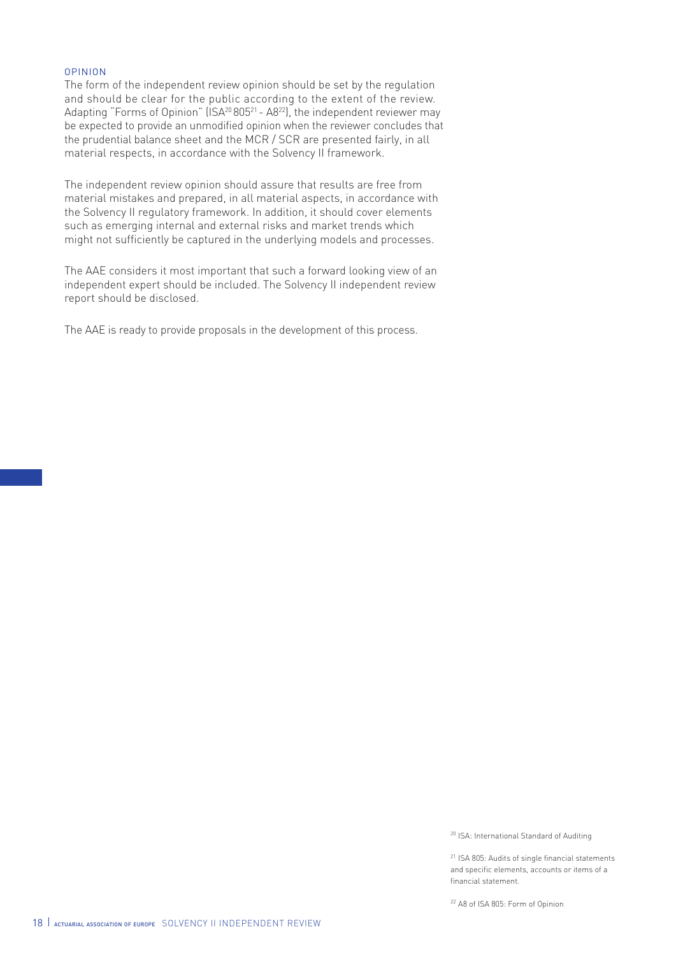#### opinion

The form of the independent review opinion should be set by the regulation and should be clear for the public according to the extent of the review. Adapting "Forms of Opinion" (ISA<sup>20</sup> 805<sup>21</sup> - A8<sup>22</sup>), the independent reviewer may be expected to provide an unmodified opinion when the reviewer concludes that the prudential balance sheet and the MCR / SCR are presented fairly, in all material respects, in accordance with the Solvency II framework.

The independent review opinion should assure that results are free from material mistakes and prepared, in all material aspects, in accordance with the Solvency II regulatory framework. In addition, it should cover elements such as emerging internal and external risks and market trends which might not sufficiently be captured in the underlying models and processes.

The AAE considers it most important that such a forward looking view of an independent expert should be included. The Solvency II independent review report should be disclosed.

The AAE is ready to provide proposals in the development of this process.

<sup>20</sup> ISA: International Standard of Auditing

<sup>21</sup> ISA 805: Audits of single financial statements and specific elements, accounts or items of a financial statement.

<sup>22</sup> A8 of ISA 805: Form of Opinion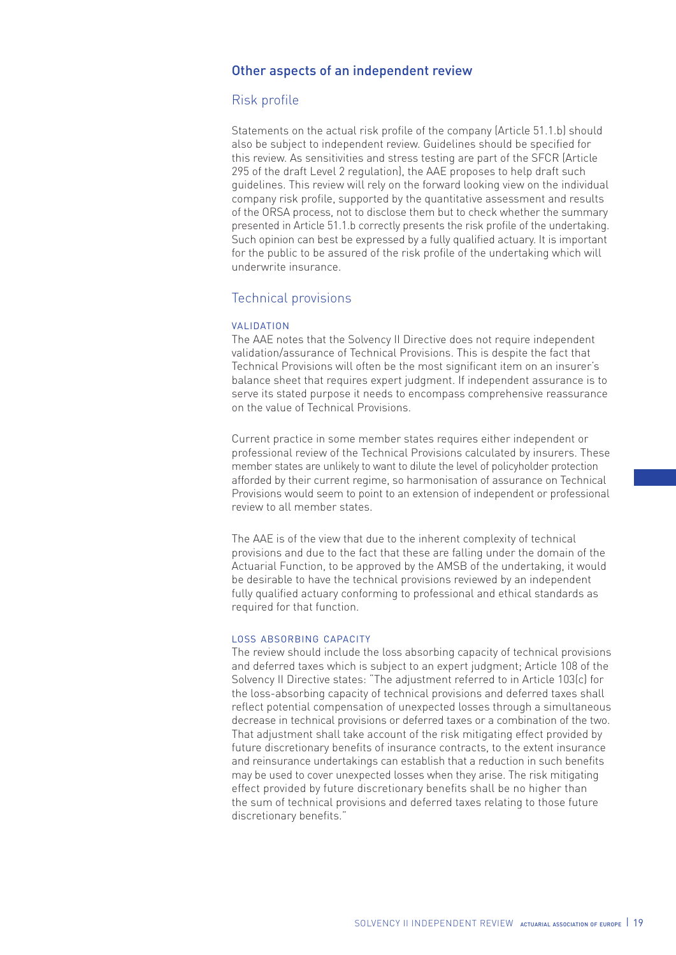### Other aspects of an independent review

### Risk profile

Statements on the actual risk profile of the company (Article 51.1.b) should also be subject to independent review. Guidelines should be specified for this review. As sensitivities and stress testing are part of the SFCR (Article 295 of the draft Level 2 regulation), the AAE proposes to help draft such guidelines. This review will rely on the forward looking view on the individual company risk profile, supported by the quantitative assessment and results of the ORSA process, not to disclose them but to check whether the summary presented in Article 51.1.b correctly presents the risk profile of the undertaking. Such opinion can best be expressed by a fully qualified actuary. It is important for the public to be assured of the risk profile of the undertaking which will underwrite insurance.

### Technical provisions

#### **VALIDATION**

The AAE notes that the Solvency II Directive does not require independent validation/assurance of Technical Provisions. This is despite the fact that Technical Provisions will often be the most significant item on an insurer's balance sheet that requires expert judgment. If independent assurance is to serve its stated purpose it needs to encompass comprehensive reassurance on the value of Technical Provisions.

Current practice in some member states requires either independent or professional review of the Technical Provisions calculated by insurers. These member states are unlikely to want to dilute the level of policyholder protection afforded by their current regime, so harmonisation of assurance on Technical Provisions would seem to point to an extension of independent or professional review to all member states.

The AAE is of the view that due to the inherent complexity of technical provisions and due to the fact that these are falling under the domain of the Actuarial Function, to be approved by the AMSB of the undertaking, it would be desirable to have the technical provisions reviewed by an independent fully qualified actuary conforming to professional and ethical standards as required for that function.

#### LOSS ABSORBING CAPACITY

The review should include the loss absorbing capacity of technical provisions and deferred taxes which is subject to an expert judgment; Article 108 of the Solvency II Directive states: "The adjustment referred to in Article 103(c) for the loss-absorbing capacity of technical provisions and deferred taxes shall reflect potential compensation of unexpected losses through a simultaneous decrease in technical provisions or deferred taxes or a combination of the two. That adjustment shall take account of the risk mitigating effect provided by future discretionary benefits of insurance contracts, to the extent insurance and reinsurance undertakings can establish that a reduction in such benefits may be used to cover unexpected losses when they arise. The risk mitigating effect provided by future discretionary benefits shall be no higher than the sum of technical provisions and deferred taxes relating to those future discretionary benefits."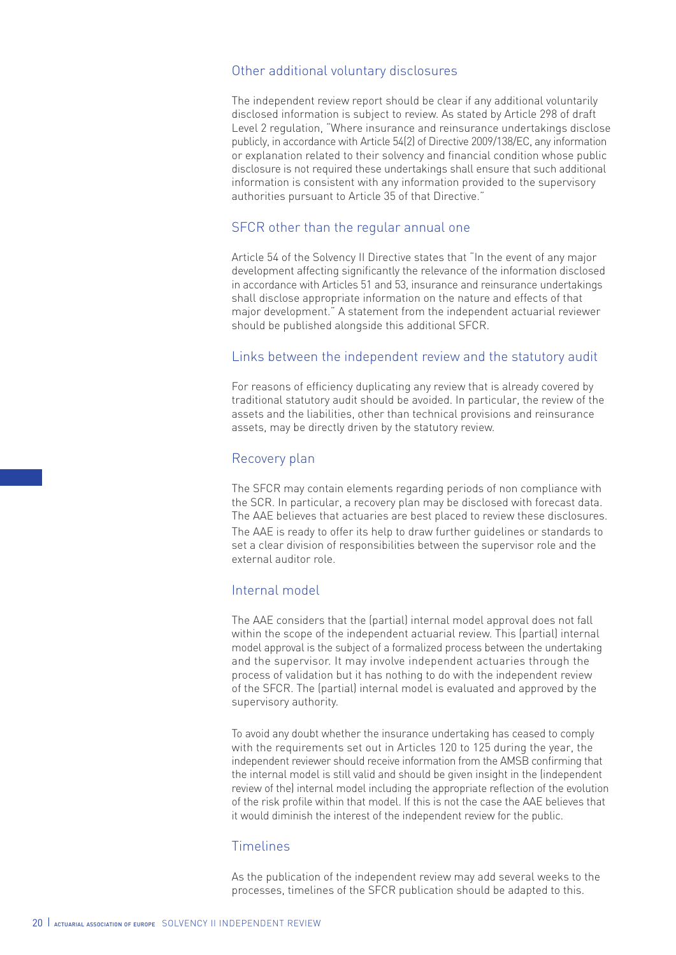### Other additional voluntary disclosures

The independent review report should be clear if any additional voluntarily disclosed information is subject to review. As stated by Article 298 of draft Level 2 regulation, "Where insurance and reinsurance undertakings disclose publicly, in accordance with Article 54(2) of Directive 2009/138/EC, any information or explanation related to their solvency and financial condition whose public disclosure is not required these undertakings shall ensure that such additional information is consistent with any information provided to the supervisory authorities pursuant to Article 35 of that Directive."

### SFCR other than the regular annual one

Article 54 of the Solvency II Directive states that "In the event of any major development affecting significantly the relevance of the information disclosed in accordance with Articles 51 and 53, insurance and reinsurance undertakings shall disclose appropriate information on the nature and effects of that major development." A statement from the independent actuarial reviewer should be published alongside this additional SFCR.

### Links between the independent review and the statutory audit

For reasons of efficiency duplicating any review that is already covered by traditional statutory audit should be avoided. In particular, the review of the assets and the liabilities, other than technical provisions and reinsurance assets, may be directly driven by the statutory review.

### Recovery plan

The SFCR may contain elements regarding periods of non compliance with the SCR. In particular, a recovery plan may be disclosed with forecast data. The AAE believes that actuaries are best placed to review these disclosures. The AAE is ready to offer its help to draw further guidelines or standards to set a clear division of responsibilities between the supervisor role and the external auditor role.

### Internal model

The AAE considers that the (partial) internal model approval does not fall within the scope of the independent actuarial review. This (partial) internal model approval is the subject of a formalized process between the undertaking and the supervisor. It may involve independent actuaries through the process of validation but it has nothing to do with the independent review of the SFCR. The (partial) internal model is evaluated and approved by the supervisory authority.

To avoid any doubt whether the insurance undertaking has ceased to comply with the requirements set out in Articles 120 to 125 during the year, the independent reviewer should receive information from the AMSB confirming that the internal model is still valid and should be given insight in the (independent review of the) internal model including the appropriate reflection of the evolution of the risk profile within that model. If this is not the case the AAE believes that it would diminish the interest of the independent review for the public.

### Timelines

As the publication of the independent review may add several weeks to the processes, timelines of the SFCR publication should be adapted to this.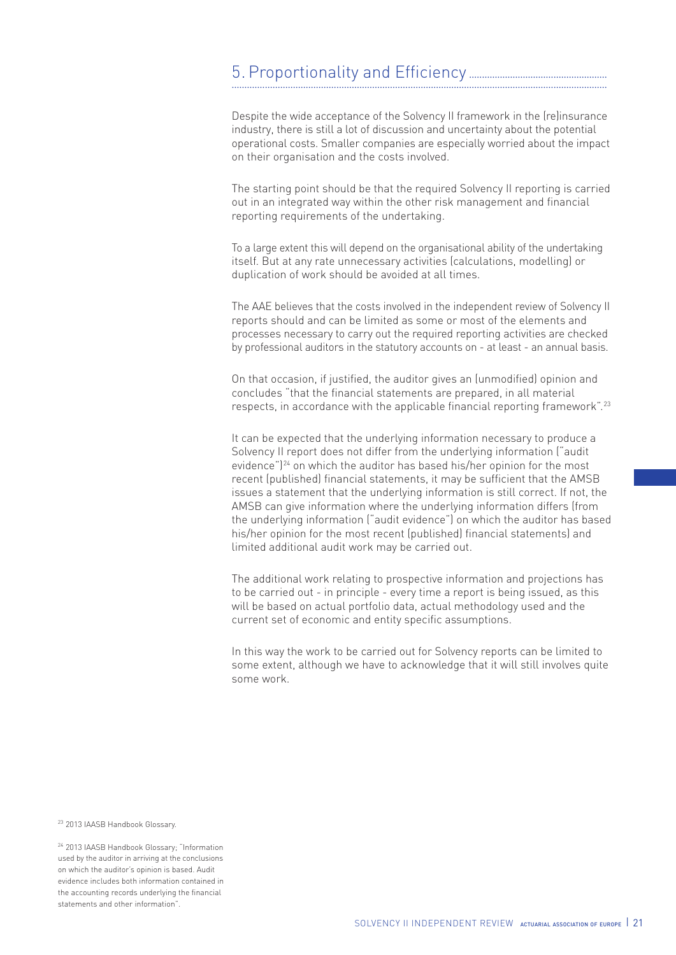### 5. Proportionality and Efficiency ...................................................... ...................................................................................................................................................

Despite the wide acceptance of the Solvency II framework in the (re)insurance industry, there is still a lot of discussion and uncertainty about the potential operational costs. Smaller companies are especially worried about the impact on their organisation and the costs involved.

The starting point should be that the required Solvency II reporting is carried out in an integrated way within the other risk management and financial reporting requirements of the undertaking.

To a large extent this will depend on the organisational ability of the undertaking itself. But at any rate unnecessary activities (calculations, modelling) or duplication of work should be avoided at all times.

The AAE believes that the costs involved in the independent review of Solvency II reports should and can be limited as some or most of the elements and processes necessary to carry out the required reporting activities are checked by professional auditors in the statutory accounts on - at least - an annual basis.

On that occasion, if justified, the auditor gives an (unmodified) opinion and concludes "that the financial statements are prepared, in all material respects, in accordance with the applicable financial reporting framework".<sup>23</sup>

It can be expected that the underlying information necessary to produce a Solvency II report does not differ from the underlying information ("audit evidence")<sup>24</sup> on which the auditor has based his/her opinion for the most recent (published) financial statements, it may be sufficient that the AMSB issues a statement that the underlying information is still correct. If not, the AMSB can give information where the underlying information differs (from the underlying information ("audit evidence") on which the auditor has based his/her opinion for the most recent (published) financial statements) and limited additional audit work may be carried out.

The additional work relating to prospective information and projections has to be carried out - in principle - every time a report is being issued, as this will be based on actual portfolio data, actual methodology used and the current set of economic and entity specific assumptions.

In this way the work to be carried out for Solvency reports can be limited to some extent, although we have to acknowledge that it will still involves quite some work.

<sup>23</sup> 2013 IAASB Handbook Glossary.

<sup>24</sup> 2013 IAASB Handbook Glossary; "Information used by the auditor in arriving at the conclusions on which the auditor's opinion is based. Audit evidence includes both information contained in the accounting records underlying the financial statements and other information".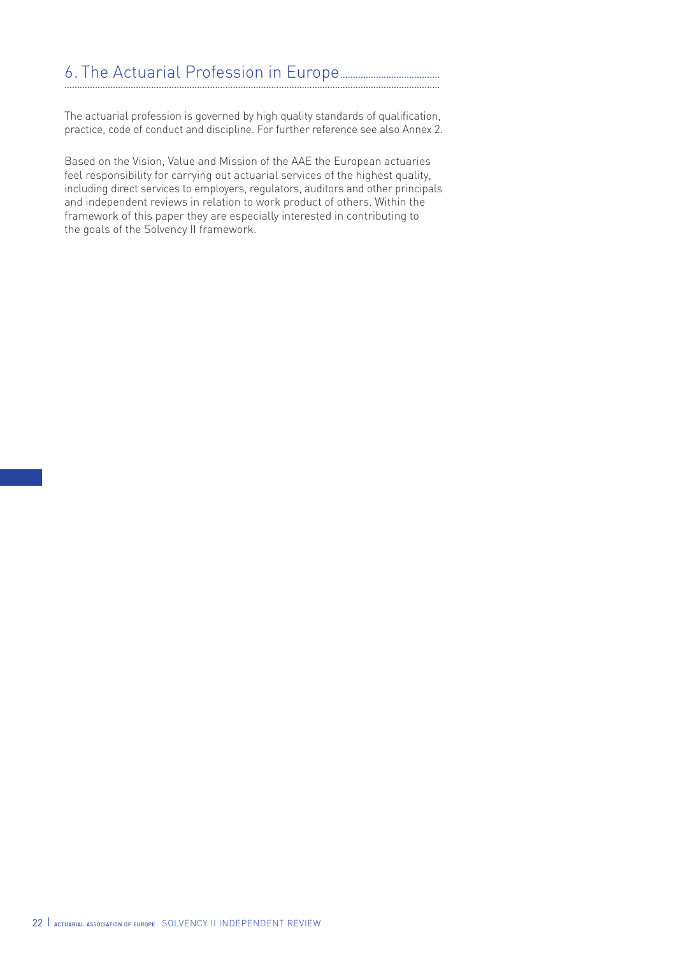#### 6. The Actuarial Profession in Europe....................................... ...................................................................................................................................................

The actuarial profession is governed by high quality standards of qualification, practice, code of conduct and discipline. For further reference see also Annex 2.

Based on the Vision, Value and Mission of the AAE the European actuaries feel responsibility for carrying out actuarial services of the highest quality, including direct services to employers, regulators, auditors and other principals and independent reviews in relation to work product of others. Within the framework of this paper they are especially interested in contributing to the goals of the Solvency II framework.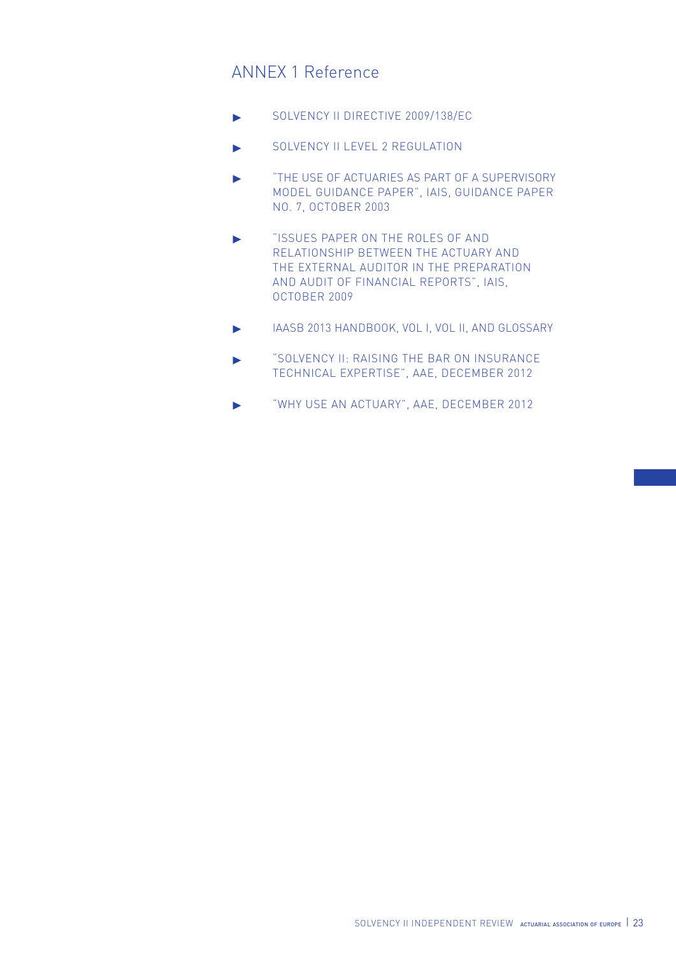# ANNEX 1 Reference

- ▶ SOLVENCY II DIRECTIVE 2009/138/EC
- **SOLVENCY ILLEVEL 2 REGULATION**
- ▶ "The use of Actuaries as Part of a Supervisory Model Guidance Paper", IAIS, Guidance Paper No. 7, October 2003
- ▶ "Issues Paper on the Roles of and Relationship between the Actuary and the External Auditor in the Preparation and Audit of Financial Reports", IAIS, October 2009
- ▶ IAASB 2013 Handbook, Vol I, Vol II, and Glossary
- ▶ "Solvency II: Raising the bar on Insurance Technical Expertise", AAE, December 2012
- ▶ "Why use an Actuary", AAE, December 2012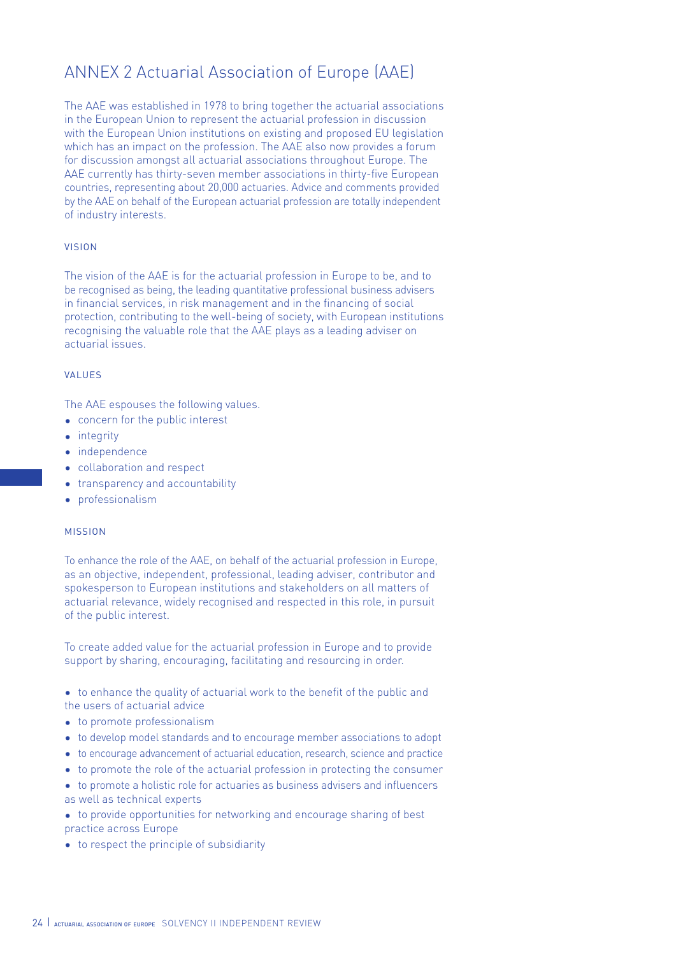# ANNEX 2 Actuarial Association of Europe (AAE)

The AAE was established in 1978 to bring together the actuarial associations in the European Union to represent the actuarial profession in discussion with the European Union institutions on existing and proposed EU legislation which has an impact on the profession. The AAE also now provides a forum for discussion amongst all actuarial associations throughout Europe. The AAE currently has thirty-seven member associations in thirty-five European countries, representing about 20,000 actuaries. Advice and comments provided by the AAE on behalf of the European actuarial profession are totally independent of industry interests.

#### vision

The vision of the AAE is for the actuarial profession in Europe to be, and to be recognised as being, the leading quantitative professional business advisers in financial services, in risk management and in the financing of social protection, contributing to the well-being of society, with European institutions recognising the valuable role that the AAE plays as a leading adviser on actuarial issues.

#### values

The AAE espouses the following values.

- concern for the public interest
- integrity
- independence
- collaboration and respect
- transparency and accountability
- professionalism

#### mission

To enhance the role of the AAE, on behalf of the actuarial profession in Europe, as an objective, independent, professional, leading adviser, contributor and spokesperson to European institutions and stakeholders on all matters of actuarial relevance, widely recognised and respected in this role, in pursuit of the public interest.

To create added value for the actuarial profession in Europe and to provide support by sharing, encouraging, facilitating and resourcing in order.

- to enhance the quality of actuarial work to the benefit of the public and the users of actuarial advice
- to promote professionalism
- to develop model standards and to encourage member associations to adopt
- to encourage advancement of actuarial education, research, science and practice
- to promote the role of the actuarial profession in protecting the consumer
- to promote a holistic role for actuaries as business advisers and influencers as well as technical experts
- to provide opportunities for networking and encourage sharing of best practice across Europe
- to respect the principle of subsidiarity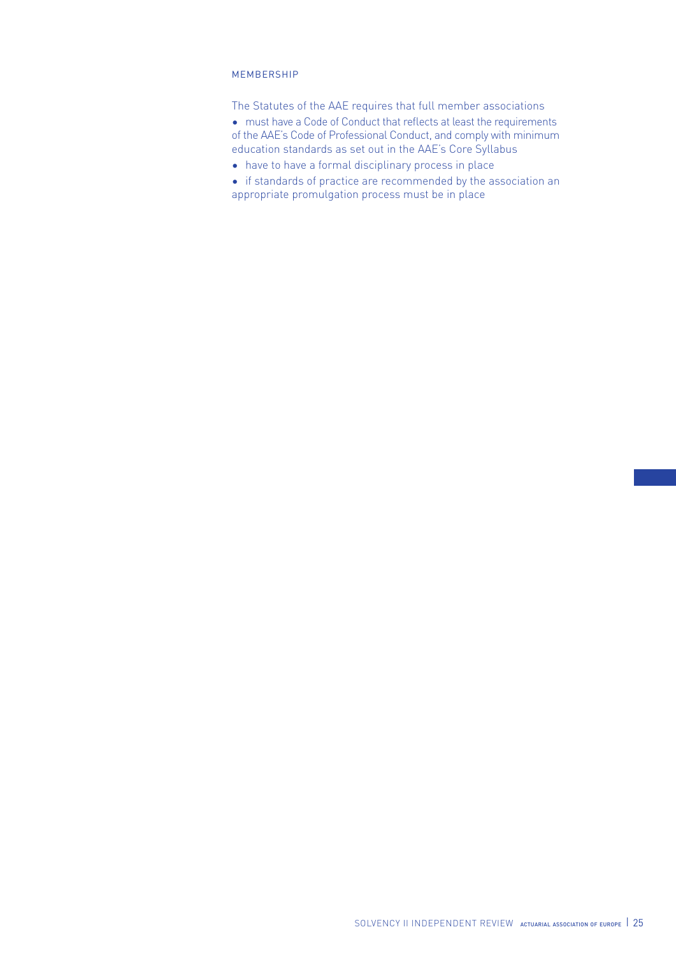#### **MEMBERSHIP**

The Statutes of the AAE requires that full member associations

- must have a Code of Conduct that reflects at least the requirements of the AAE's Code of Professional Conduct, and comply with minimum education standards as set out in the AAE's Core Syllabus
- have to have a formal disciplinary process in place
- if standards of practice are recommended by the association an appropriate promulgation process must be in place